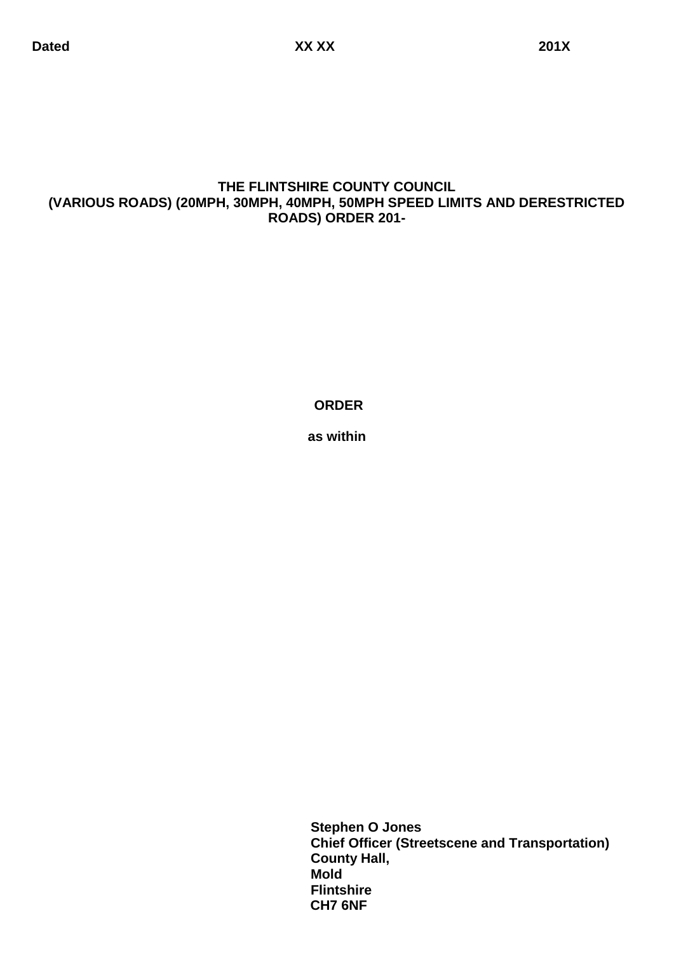# **THE FLINTSHIRE COUNTY COUNCIL (VARIOUS ROADS) (20MPH, 30MPH, 40MPH, 50MPH SPEED LIMITS AND DERESTRICTED ROADS) ORDER 201-**

**ORDER**

**as within**

 **Stephen O Jones Chief Officer (Streetscene and Transportation) County Hall, Mold Flintshire CH7 6NF**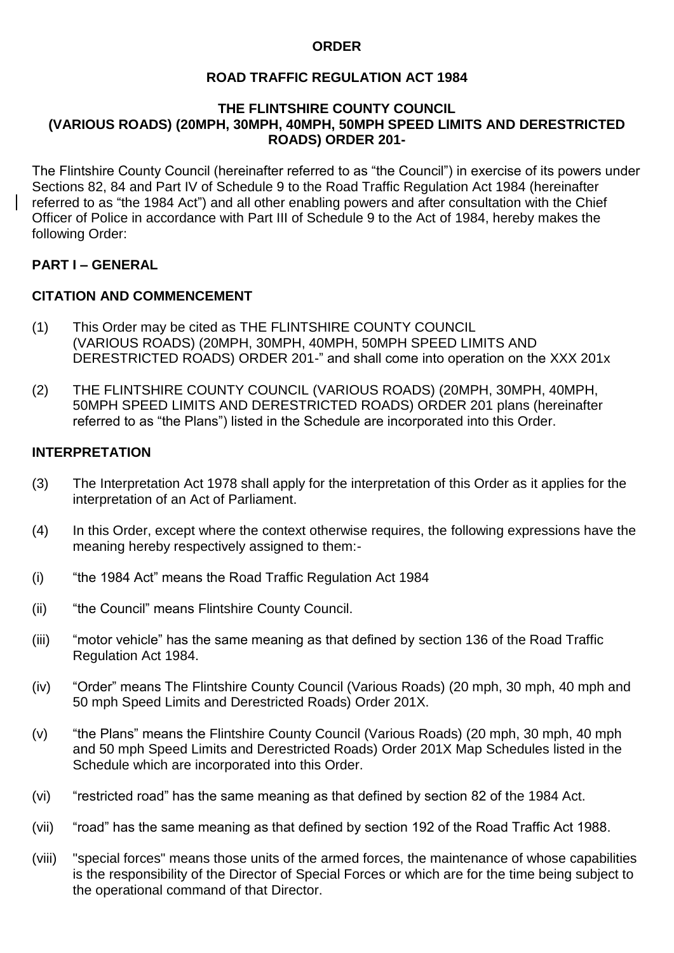#### **ORDER**

# **ROAD TRAFFIC REGULATION ACT 1984**

#### **THE FLINTSHIRE COUNTY COUNCIL (VARIOUS ROADS) (20MPH, 30MPH, 40MPH, 50MPH SPEED LIMITS AND DERESTRICTED ROADS) ORDER 201-**

The Flintshire County Council (hereinafter referred to as "the Council") in exercise of its powers under Sections 82, 84 and Part IV of Schedule 9 to the Road Traffic Regulation Act 1984 (hereinafter referred to as "the 1984 Act") and all other enabling powers and after consultation with the Chief Officer of Police in accordance with Part III of Schedule 9 to the Act of 1984, hereby makes the following Order:

# **PART I – GENERAL**

# **CITATION AND COMMENCEMENT**

- (1) This Order may be cited as THE FLINTSHIRE COUNTY COUNCIL (VARIOUS ROADS) (20MPH, 30MPH, 40MPH, 50MPH SPEED LIMITS AND DERESTRICTED ROADS) ORDER 201-" and shall come into operation on the XXX 201x
- (2) THE FLINTSHIRE COUNTY COUNCIL (VARIOUS ROADS) (20MPH, 30MPH, 40MPH, 50MPH SPEED LIMITS AND DERESTRICTED ROADS) ORDER 201 plans (hereinafter referred to as "the Plans") listed in the Schedule are incorporated into this Order.

# **INTERPRETATION**

- (3) The Interpretation Act 1978 shall apply for the interpretation of this Order as it applies for the interpretation of an Act of Parliament.
- (4) In this Order, except where the context otherwise requires, the following expressions have the meaning hereby respectively assigned to them:-
- (i) "the 1984 Act" means the Road Traffic Regulation Act 1984
- (ii) "the Council" means Flintshire County Council.
- (iii) "motor vehicle" has the same meaning as that defined by section 136 of the Road Traffic Regulation Act 1984.
- (iv) "Order" means The Flintshire County Council (Various Roads) (20 mph, 30 mph, 40 mph and 50 mph Speed Limits and Derestricted Roads) Order 201X.
- (v) "the Plans" means the Flintshire County Council (Various Roads) (20 mph, 30 mph, 40 mph and 50 mph Speed Limits and Derestricted Roads) Order 201X Map Schedules listed in the Schedule which are incorporated into this Order.
- (vi) "restricted road" has the same meaning as that defined by section 82 of the 1984 Act.
- (vii) "road" has the same meaning as that defined by section 192 of the Road Traffic Act 1988.
- (viii) "special forces" means those units of the armed forces, the maintenance of whose capabilities is the responsibility of the Director of Special Forces or which are for the time being subject to the operational command of that Director.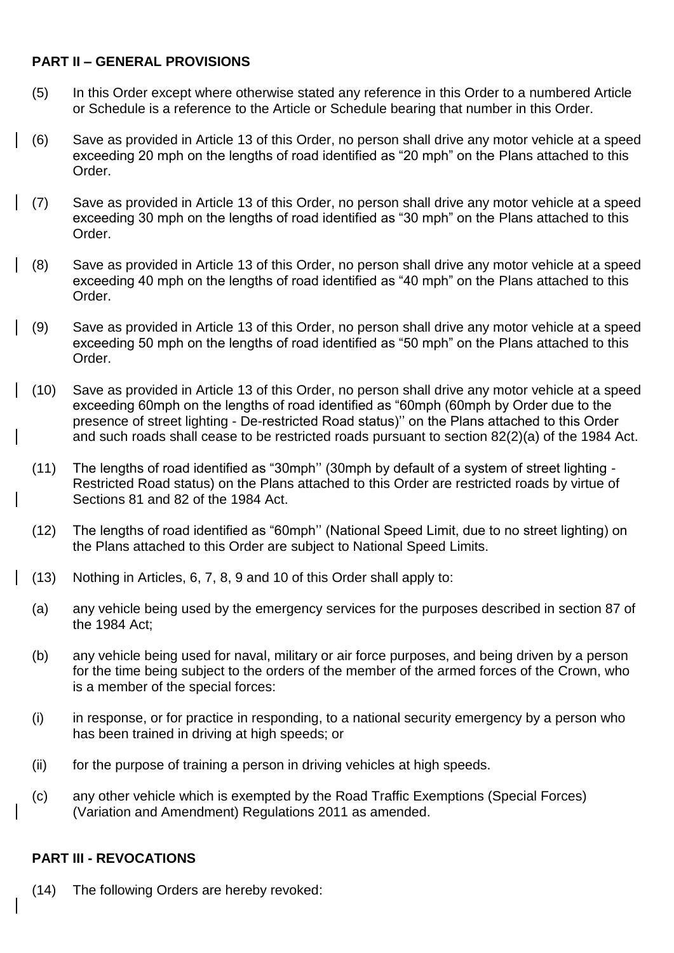# **PART II – GENERAL PROVISIONS**

- (5) In this Order except where otherwise stated any reference in this Order to a numbered Article or Schedule is a reference to the Article or Schedule bearing that number in this Order.
- (6) Save as provided in Article 13 of this Order, no person shall drive any motor vehicle at a speed exceeding 20 mph on the lengths of road identified as "20 mph" on the Plans attached to this Order.
- (7) Save as provided in Article 13 of this Order, no person shall drive any motor vehicle at a speed exceeding 30 mph on the lengths of road identified as "30 mph" on the Plans attached to this Order.
- (8) Save as provided in Article 13 of this Order, no person shall drive any motor vehicle at a speed exceeding 40 mph on the lengths of road identified as "40 mph" on the Plans attached to this Order.
- (9) Save as provided in Article 13 of this Order, no person shall drive any motor vehicle at a speed exceeding 50 mph on the lengths of road identified as "50 mph" on the Plans attached to this Order.
- (10) Save as provided in Article 13 of this Order, no person shall drive any motor vehicle at a speed exceeding 60mph on the lengths of road identified as "60mph (60mph by Order due to the presence of street lighting - De-restricted Road status)'' on the Plans attached to this Order and such roads shall cease to be restricted roads pursuant to section 82(2)(a) of the 1984 Act.
- (11) The lengths of road identified as "30mph'' (30mph by default of a system of street lighting Restricted Road status) on the Plans attached to this Order are restricted roads by virtue of Sections 81 and 82 of the 1984 Act.
- (12) The lengths of road identified as "60mph'' (National Speed Limit, due to no street lighting) on the Plans attached to this Order are subject to National Speed Limits.
- (13) Nothing in Articles, 6, 7, 8, 9 and 10 of this Order shall apply to:
- (a) any vehicle being used by the emergency services for the purposes described in section 87 of the 1984 Act;
- (b) any vehicle being used for naval, military or air force purposes, and being driven by a person for the time being subject to the orders of the member of the armed forces of the Crown, who is a member of the special forces:
- (i) in response, or for practice in responding, to a national security emergency by a person who has been trained in driving at high speeds; or
- (ii) for the purpose of training a person in driving vehicles at high speeds.
- (c) any other vehicle which is exempted by the Road Traffic Exemptions (Special Forces) (Variation and Amendment) Regulations 2011 as amended.

#### **PART III - REVOCATIONS**

(14) The following Orders are hereby revoked: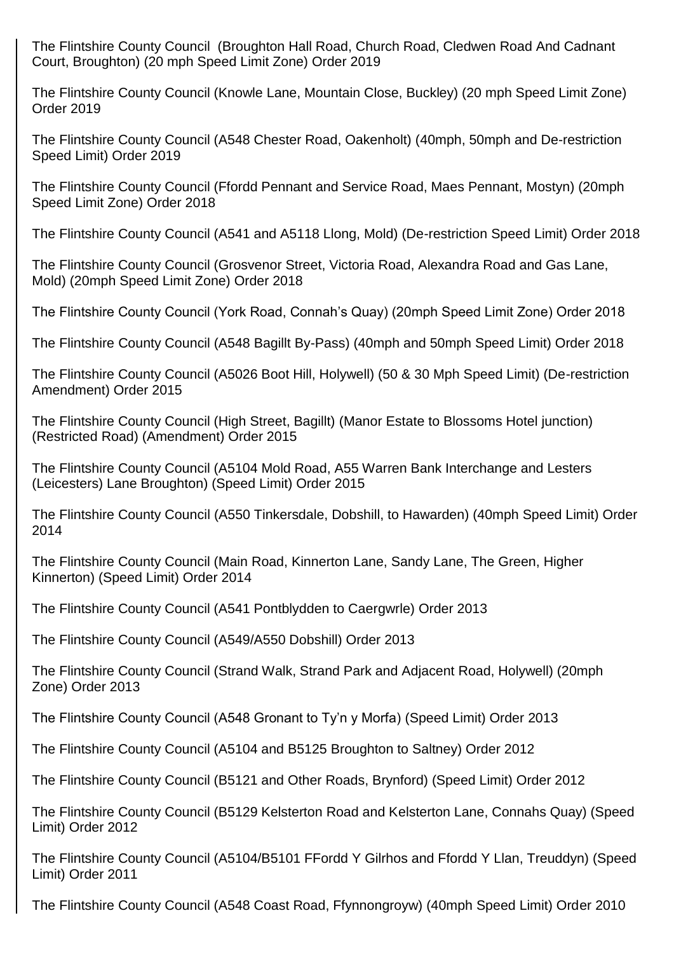The Flintshire County Council (Broughton Hall Road, Church Road, Cledwen Road And Cadnant Court, Broughton) (20 mph Speed Limit Zone) Order 2019

The Flintshire County Council (Knowle Lane, Mountain Close, Buckley) (20 mph Speed Limit Zone) Order 2019

The Flintshire County Council (A548 Chester Road, Oakenholt) (40mph, 50mph and De-restriction Speed Limit) Order 2019

The Flintshire County Council (Ffordd Pennant and Service Road, Maes Pennant, Mostyn) (20mph Speed Limit Zone) Order 2018

The Flintshire County Council (A541 and A5118 Llong, Mold) (De-restriction Speed Limit) Order 2018

The Flintshire County Council (Grosvenor Street, Victoria Road, Alexandra Road and Gas Lane, Mold) (20mph Speed Limit Zone) Order 2018

The Flintshire County Council (York Road, Connah's Quay) (20mph Speed Limit Zone) Order 2018

The Flintshire County Council (A548 Bagillt By-Pass) (40mph and 50mph Speed Limit) Order 2018

The Flintshire County Council (A5026 Boot Hill, Holywell) (50 & 30 Mph Speed Limit) (De-restriction Amendment) Order 2015

The Flintshire County Council (High Street, Bagillt) (Manor Estate to Blossoms Hotel junction) (Restricted Road) (Amendment) Order 2015

The Flintshire County Council (A5104 Mold Road, A55 Warren Bank Interchange and Lesters (Leicesters) Lane Broughton) (Speed Limit) Order 2015

The Flintshire County Council (A550 Tinkersdale, Dobshill, to Hawarden) (40mph Speed Limit) Order 2014

The Flintshire County Council (Main Road, Kinnerton Lane, Sandy Lane, The Green, Higher Kinnerton) (Speed Limit) Order 2014

The Flintshire County Council (A541 Pontblydden to Caergwrle) Order 2013

The Flintshire County Council (A549/A550 Dobshill) Order 2013

The Flintshire County Council (Strand Walk, Strand Park and Adjacent Road, Holywell) (20mph Zone) Order 2013

The Flintshire County Council (A548 Gronant to Ty'n y Morfa) (Speed Limit) Order 2013

The Flintshire County Council (A5104 and B5125 Broughton to Saltney) Order 2012

The Flintshire County Council (B5121 and Other Roads, Brynford) (Speed Limit) Order 2012

The Flintshire County Council (B5129 Kelsterton Road and Kelsterton Lane, Connahs Quay) (Speed Limit) Order 2012

The Flintshire County Council (A5104/B5101 FFordd Y Gilrhos and Ffordd Y Llan, Treuddyn) (Speed Limit) Order 2011

The Flintshire County Council (A548 Coast Road, Ffynnongroyw) (40mph Speed Limit) Order 2010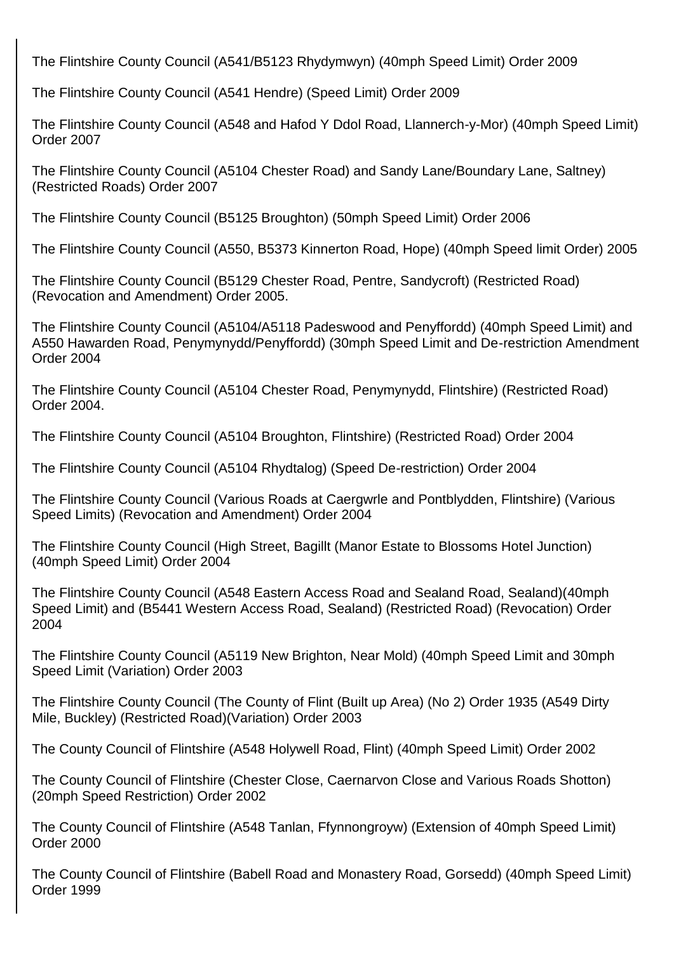The Flintshire County Council (A541/B5123 Rhydymwyn) (40mph Speed Limit) Order 2009

The Flintshire County Council (A541 Hendre) (Speed Limit) Order 2009

The Flintshire County Council (A548 and Hafod Y Ddol Road, Llannerch-y-Mor) (40mph Speed Limit) Order 2007

The Flintshire County Council (A5104 Chester Road) and Sandy Lane/Boundary Lane, Saltney) (Restricted Roads) Order 2007

The Flintshire County Council (B5125 Broughton) (50mph Speed Limit) Order 2006

The Flintshire County Council (A550, B5373 Kinnerton Road, Hope) (40mph Speed limit Order) 2005

The Flintshire County Council (B5129 Chester Road, Pentre, Sandycroft) (Restricted Road) (Revocation and Amendment) Order 2005.

The Flintshire County Council (A5104/A5118 Padeswood and Penyffordd) (40mph Speed Limit) and A550 Hawarden Road, Penymynydd/Penyffordd) (30mph Speed Limit and De-restriction Amendment Order 2004

The Flintshire County Council (A5104 Chester Road, Penymynydd, Flintshire) (Restricted Road) Order 2004.

The Flintshire County Council (A5104 Broughton, Flintshire) (Restricted Road) Order 2004

The Flintshire County Council (A5104 Rhydtalog) (Speed De-restriction) Order 2004

The Flintshire County Council (Various Roads at Caergwrle and Pontblydden, Flintshire) (Various Speed Limits) (Revocation and Amendment) Order 2004

The Flintshire County Council (High Street, Bagillt (Manor Estate to Blossoms Hotel Junction) (40mph Speed Limit) Order 2004

The Flintshire County Council (A548 Eastern Access Road and Sealand Road, Sealand)(40mph Speed Limit) and (B5441 Western Access Road, Sealand) (Restricted Road) (Revocation) Order 2004

The Flintshire County Council (A5119 New Brighton, Near Mold) (40mph Speed Limit and 30mph Speed Limit (Variation) Order 2003

The Flintshire County Council (The County of Flint (Built up Area) (No 2) Order 1935 (A549 Dirty Mile, Buckley) (Restricted Road)(Variation) Order 2003

The County Council of Flintshire (A548 Holywell Road, Flint) (40mph Speed Limit) Order 2002

The County Council of Flintshire (Chester Close, Caernarvon Close and Various Roads Shotton) (20mph Speed Restriction) Order 2002

The County Council of Flintshire (A548 Tanlan, Ffynnongroyw) (Extension of 40mph Speed Limit) Order 2000

The County Council of Flintshire (Babell Road and Monastery Road, Gorsedd) (40mph Speed Limit) Order 1999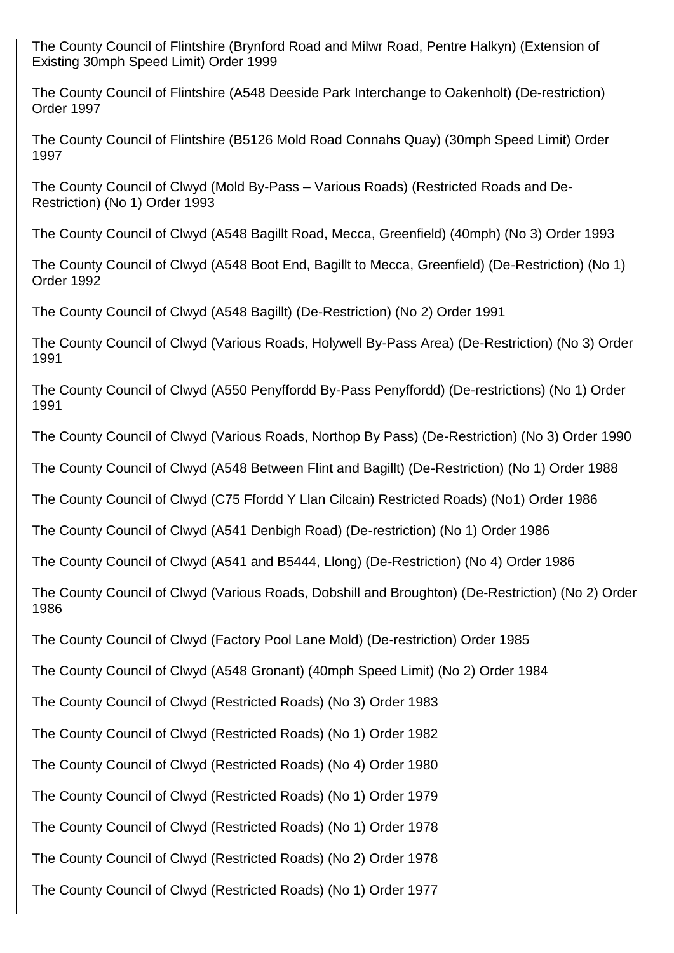The County Council of Flintshire (Brynford Road and Milwr Road, Pentre Halkyn) (Extension of Existing 30mph Speed Limit) Order 1999

The County Council of Flintshire (A548 Deeside Park Interchange to Oakenholt) (De-restriction) Order 1997

The County Council of Flintshire (B5126 Mold Road Connahs Quay) (30mph Speed Limit) Order 1997

The County Council of Clwyd (Mold By-Pass – Various Roads) (Restricted Roads and De-Restriction) (No 1) Order 1993

The County Council of Clwyd (A548 Bagillt Road, Mecca, Greenfield) (40mph) (No 3) Order 1993

The County Council of Clwyd (A548 Boot End, Bagillt to Mecca, Greenfield) (De-Restriction) (No 1) Order 1992

The County Council of Clwyd (A548 Bagillt) (De-Restriction) (No 2) Order 1991

The County Council of Clwyd (Various Roads, Holywell By-Pass Area) (De-Restriction) (No 3) Order 1991

The County Council of Clwyd (A550 Penyffordd By-Pass Penyffordd) (De-restrictions) (No 1) Order 1991

The County Council of Clwyd (Various Roads, Northop By Pass) (De-Restriction) (No 3) Order 1990

The County Council of Clwyd (A548 Between Flint and Bagillt) (De-Restriction) (No 1) Order 1988

The County Council of Clwyd (C75 Ffordd Y Llan Cilcain) Restricted Roads) (No1) Order 1986

The County Council of Clwyd (A541 Denbigh Road) (De-restriction) (No 1) Order 1986

The County Council of Clwyd (A541 and B5444, Llong) (De-Restriction) (No 4) Order 1986

The County Council of Clwyd (Various Roads, Dobshill and Broughton) (De-Restriction) (No 2) Order 1986

The County Council of Clwyd (Factory Pool Lane Mold) (De-restriction) Order 1985

The County Council of Clwyd (A548 Gronant) (40mph Speed Limit) (No 2) Order 1984

The County Council of Clwyd (Restricted Roads) (No 3) Order 1983

The County Council of Clwyd (Restricted Roads) (No 1) Order 1982

The County Council of Clwyd (Restricted Roads) (No 4) Order 1980

The County Council of Clwyd (Restricted Roads) (No 1) Order 1979

The County Council of Clwyd (Restricted Roads) (No 1) Order 1978

The County Council of Clwyd (Restricted Roads) (No 2) Order 1978

The County Council of Clwyd (Restricted Roads) (No 1) Order 1977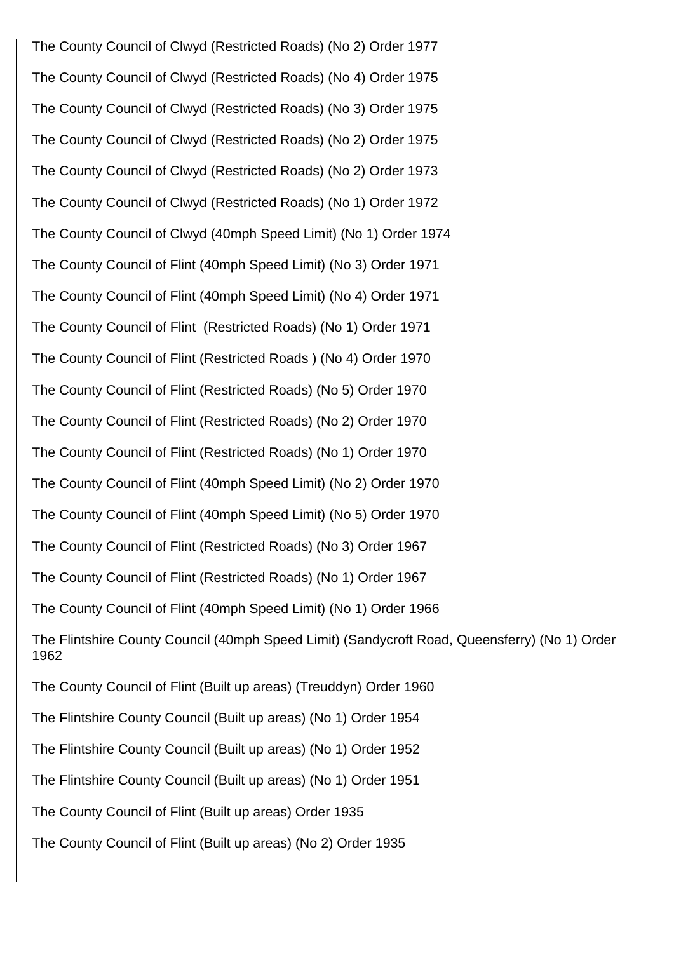The County Council of Clwyd (Restricted Roads) (No 2) Order 1977 The County Council of Clwyd (Restricted Roads) (No 4) Order 1975 The County Council of Clwyd (Restricted Roads) (No 3) Order 1975 The County Council of Clwyd (Restricted Roads) (No 2) Order 1975 The County Council of Clwyd (Restricted Roads) (No 2) Order 1973 The County Council of Clwyd (Restricted Roads) (No 1) Order 1972 The County Council of Clwyd (40mph Speed Limit) (No 1) Order 1974 The County Council of Flint (40mph Speed Limit) (No 3) Order 1971 The County Council of Flint (40mph Speed Limit) (No 4) Order 1971 The County Council of Flint (Restricted Roads) (No 1) Order 1971 The County Council of Flint (Restricted Roads ) (No 4) Order 1970 The County Council of Flint (Restricted Roads) (No 5) Order 1970 The County Council of Flint (Restricted Roads) (No 2) Order 1970 The County Council of Flint (Restricted Roads) (No 1) Order 1970 The County Council of Flint (40mph Speed Limit) (No 2) Order 1970 The County Council of Flint (40mph Speed Limit) (No 5) Order 1970 The County Council of Flint (Restricted Roads) (No 3) Order 1967 The County Council of Flint (Restricted Roads) (No 1) Order 1967 The County Council of Flint (40mph Speed Limit) (No 1) Order 1966 The Flintshire County Council (40mph Speed Limit) (Sandycroft Road, Queensferry) (No 1) Order 1962 The County Council of Flint (Built up areas) (Treuddyn) Order 1960 The Flintshire County Council (Built up areas) (No 1) Order 1954 The Flintshire County Council (Built up areas) (No 1) Order 1952 The Flintshire County Council (Built up areas) (No 1) Order 1951 The County Council of Flint (Built up areas) Order 1935 The County Council of Flint (Built up areas) (No 2) Order 1935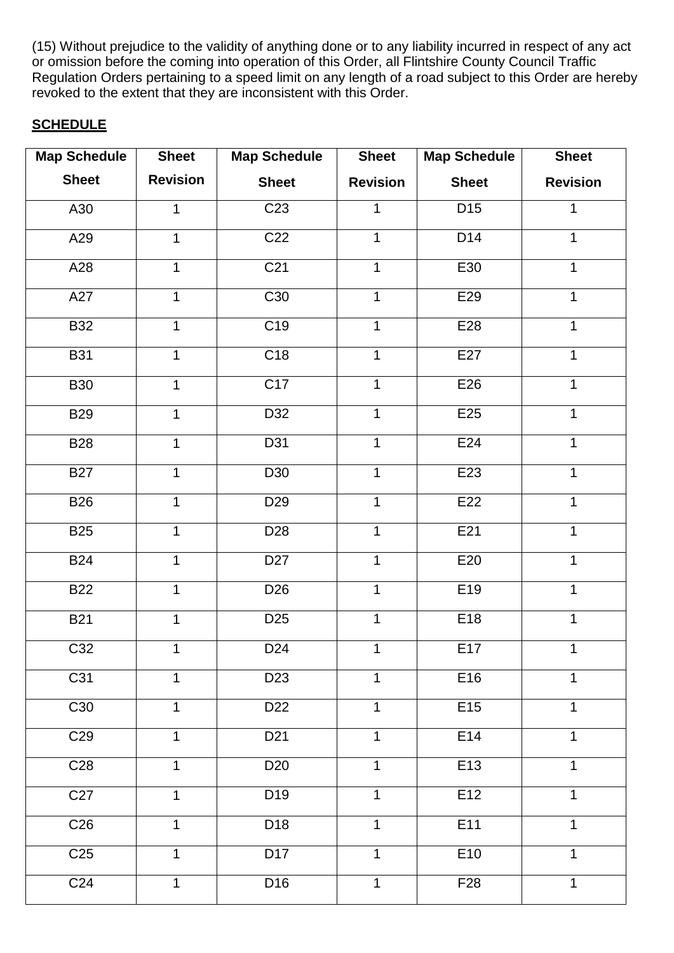(15) Without prejudice to the validity of anything done or to any liability incurred in respect of any act or omission before the coming into operation of this Order, all Flintshire County Council Traffic Regulation Orders pertaining to a speed limit on any length of a road subject to this Order are hereby revoked to the extent that they are inconsistent with this Order.

# **SCHEDULE**

| <b>Map Schedule</b> | <b>Sheet</b>    | <b>Map Schedule</b> | <b>Sheet</b>    | <b>Map Schedule</b> | <b>Sheet</b>    |
|---------------------|-----------------|---------------------|-----------------|---------------------|-----------------|
| <b>Sheet</b>        | <b>Revision</b> | <b>Sheet</b>        | <b>Revision</b> | <b>Sheet</b>        | <b>Revision</b> |
| A30                 | 1               | C <sub>23</sub>     | 1               | D15                 | 1               |
| A29                 | 1               | C <sub>22</sub>     | $\mathbf{1}$    | D14                 | 1               |
| A28                 | 1               | C <sub>21</sub>     | $\mathbf 1$     | E30                 | $\mathbf{1}$    |
| A27                 | 1               | C30                 | $\mathbf 1$     | E29                 | $\mathbf{1}$    |
| <b>B32</b>          | 1               | C <sub>19</sub>     | $\mathbf 1$     | E28                 | 1               |
| <b>B31</b>          | 1               | C18                 | $\mathbf{1}$    | E27                 | $\mathbf{1}$    |
| <b>B30</b>          | 1               | C17                 | $\mathbf 1$     | E26                 | 1               |
| <b>B29</b>          | 1               | D32                 | $\mathbf 1$     | E25                 | 1               |
| <b>B28</b>          | 1               | D31                 | $\mathbf 1$     | E24                 | $\mathbf{1}$    |
| <b>B27</b>          | $\mathbf{1}$    | D30                 | $\mathbf 1$     | E23                 | $\mathbf{1}$    |
| <b>B26</b>          | $\mathbf{1}$    | D <sub>29</sub>     | $\mathbf 1$     | E22                 | 1               |
| <b>B25</b>          | 1               | D <sub>28</sub>     | $\mathbf{1}$    | E21                 | $\mathbf{1}$    |
| <b>B24</b>          | 1               | D <sub>27</sub>     | $\mathbf{1}$    | E20                 | 1               |
| <b>B22</b>          | 1               | D <sub>26</sub>     | $\mathbf 1$     | E19                 | 1               |
| <b>B21</b>          | $\mathbf{1}$    | D <sub>25</sub>     | $\mathbf{1}$    | E18                 | $\mathbf{1}$    |
| C32                 | 1               | D <sub>24</sub>     | $\mathbf{1}$    | E17                 | $\mathbf{1}$    |
| C31                 | 1               | D <sub>23</sub>     | $\mathbf{1}$    | E16                 | 1               |
| C30                 | 1               | D <sub>22</sub>     | $\mathbf{1}$    | E15                 | $\mathbf{1}$    |
| C <sub>29</sub>     | 1               | D <sub>21</sub>     | $\mathbf{1}$    | E14                 | 1               |
| C <sub>28</sub>     | 1               | D <sub>20</sub>     | $\mathbf{1}$    | E13                 | 1               |
| C27                 | $\mathbf{1}$    | D <sub>19</sub>     | $\mathbf 1$     | E12                 | 1               |
| C <sub>26</sub>     | 1               | D <sub>18</sub>     | $\mathbf{1}$    | E11                 | 1               |
| C <sub>25</sub>     | 1               | D <sub>17</sub>     | $\mathbf{1}$    | E10                 | 1               |
| C <sub>24</sub>     | $\mathbf{1}$    | D <sub>16</sub>     | $\mathbf{1}$    | F <sub>28</sub>     | $\mathbf{1}$    |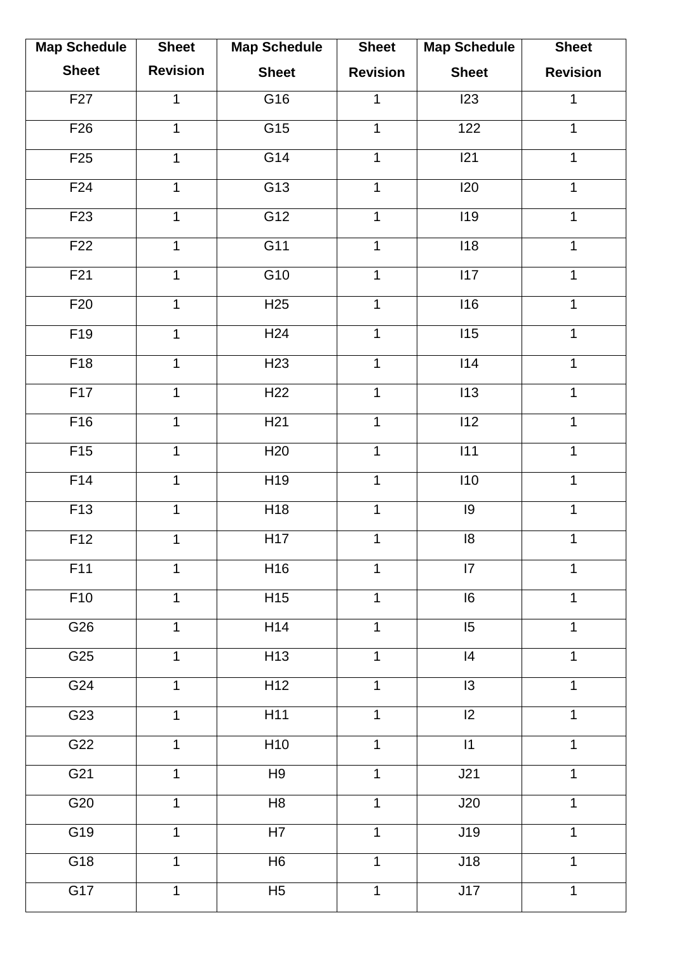| <b>Map Schedule</b> | <b>Sheet</b>    | <b>Map Schedule</b> | <b>Sheet</b>    | <b>Map Schedule</b> | <b>Sheet</b>    |
|---------------------|-----------------|---------------------|-----------------|---------------------|-----------------|
| <b>Sheet</b>        | <b>Revision</b> | <b>Sheet</b>        | <b>Revision</b> | <b>Sheet</b>        | <b>Revision</b> |
| F27                 | 1               | G16                 | $\mathbf{1}$    | 123                 | 1               |
| F26                 | 1               | G15                 | $\mathbf{1}$    | 122                 | $\mathbf{1}$    |
| F25                 | $\mathbf{1}$    | G14                 | $\mathbf{1}$    | 21                  | $\mathbf{1}$    |
| F <sub>24</sub>     | $\mathbf{1}$    | G13                 | $\mathbf{1}$    | 120                 | $\mathbf{1}$    |
| F <sub>23</sub>     | $\mathbf{1}$    | G12                 | $\mathbf{1}$    | <b>I19</b>          | $\mathbf{1}$    |
| F22                 | 1               | G11                 | $\mathbf 1$     | 118                 | $\mathbf 1$     |
| F21                 | 1               | G10                 | $\mathbf 1$     | 117                 | $\mathbf{1}$    |
| F20                 | $\mathbf{1}$    | H25                 | $\mathbf 1$     | 116                 | $\mathbf{1}$    |
| F19                 | $\mathbf 1$     | H24                 | $\mathbf{1}$    | 115                 | $\mathbf{1}$    |
| F18                 | $\mathbf{1}$    | H23                 | $\mathbf 1$     | 114                 | $\mathbf{1}$    |
| F17                 | $\mathbf{1}$    | H22                 | $\mathbf{1}$    | 113                 | $\mathbf{1}$    |
| F16                 | 1               | H <sub>21</sub>     | $\mathbf{1}$    | 112                 | $\mathbf 1$     |
| F15                 | 1               | H20                 | 1               | $\overline{111}$    | 1               |
| F14                 | $\mathbf{1}$    | H19                 | $\mathbf{1}$    | 110                 | $\mathbf{1}$    |
| F13                 | $\mathbf{1}$    | H <sub>18</sub>     | $\mathbf{1}$    | 9                   | $\mathbf{1}$    |
| F <sub>12</sub>     | 1               | H17                 | $\mathbf 1$     | $\overline{8}$      | $\mathbf 1$     |
| F11                 | 1               | H16                 | $\mathbf 1$     | 7                   | 1               |
| F10                 | 1               | H15                 | $\mathbf{1}$    | $\overline{16}$     | 1               |
| G26                 | 1               | H14                 | $\mathbf{1}$    | $\overline{15}$     | $\mathbf{1}$    |
| G25                 | 1               | H <sub>13</sub>     | $\mathbf 1$     | 4                   | 1               |
| G24                 | 1               | H12                 | $\mathbf{1}$    | $\overline{13}$     | $\mathbf{1}$    |
| G23                 | 1               | H11                 | $\mathbf{1}$    | $\overline{12}$     | $\mathbf 1$     |
| G22                 | 1               | H10                 | $\mathbf{1}$    | 1                   | 1               |
| G <sub>21</sub>     | 1               | H9                  | $\mathbf{1}$    | J21                 | $\mathbf{1}$    |
| G20                 | 1               | H8                  | $\mathbf{1}$    | J20                 | $\mathbf 1$     |
| G19                 | $\mathbf{1}$    | H7                  | $\mathbf{1}$    | J19                 | $\mathbf{1}$    |
| G18                 | $\mathbf{1}$    | H <sub>6</sub>      | $\mathbf{1}$    | J18                 | $\mathbf{1}$    |
| G17                 | 1               | $\overline{H5}$     | $\mathbf{1}$    | J17                 | $\mathbf 1$     |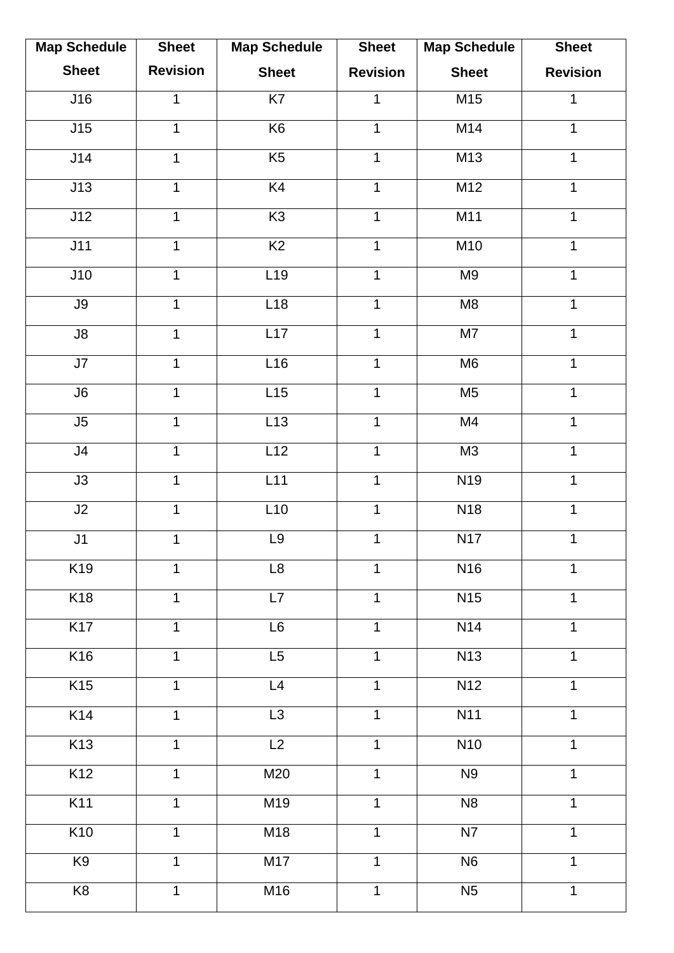| <b>Map Schedule</b>      | <b>Sheet</b>    | <b>Map Schedule</b> | <b>Sheet</b>    | <b>Map Schedule</b>    | <b>Sheet</b>    |
|--------------------------|-----------------|---------------------|-----------------|------------------------|-----------------|
| <b>Sheet</b>             | <b>Revision</b> | <b>Sheet</b>        | <b>Revision</b> | <b>Sheet</b>           | <b>Revision</b> |
| J16                      | 1               | K <sub>7</sub>      | $\mathbf{1}$    | M15                    | 1               |
| J15                      | 1               | K6                  | $\mathbf{1}$    | M14                    | $\mathbf 1$     |
| J14                      | $\mathbf{1}$    | K5                  | $\mathbf{1}$    | M13                    | $\mathbf{1}$    |
| J13                      | $\mathbf{1}$    | K <sub>4</sub>      | $\mathbf{1}$    | M12                    | $\mathbf{1}$    |
| J12                      | $\mathbf{1}$    | K <sub>3</sub>      | $\mathbf 1$     | M11                    | $\mathbf{1}$    |
| J11                      | 1               | $\overline{K2}$     | $\mathbf 1$     | M10                    | $\mathbf 1$     |
| J10                      | 1               | L19                 | $\mathbf 1$     | M9                     | $\mathbf{1}$    |
| J9                       | $\mathbf{1}$    | L18                 | $\mathbf 1$     | M8                     | $\mathbf 1$     |
| $\overline{\mathsf{J8}}$ | $\mathbf 1$     | L17                 | $\mathbf{1}$    | $\overline{\text{M7}}$ | $\mathbf{1}$    |
| J7                       | $\mathbf{1}$    | L16                 | $\mathbf 1$     | M <sub>6</sub>         | $\mathbf{1}$    |
| J6                       | $\mathbf{1}$    | L15                 | $\mathbf{1}$    | M <sub>5</sub>         | $\mathbf{1}$    |
| $\overline{\mathsf{J}5}$ | 1               | L13                 | $\mathbf{1}$    | M4                     | $\mathbf 1$     |
| J4                       | 1               | L12                 | 1               | M3                     | 1               |
| J3                       | $\mathbf{1}$    | L11                 | $\mathbf{1}$    | N <sub>19</sub>        | $\mathbf{1}$    |
| J2                       | $\mathbf{1}$    | L10                 | $\mathbf{1}$    | <b>N18</b>             | $\mathbf{1}$    |
| J1                       | 1               | L9                  | $\mathbf 1$     | N17                    | $\mathbf 1$     |
| K19                      | $\mathbf{1}$    | L8                  | $\mathbf 1$     | N <sub>16</sub>        | 1               |
| K18                      | 1               | L7                  | $\mathbf{1}$    | N15                    | $\mathbf{1}$    |
| K17                      | 1               | L6                  | $\mathbf 1$     | N14                    | $\mathbf{1}$    |
| K16                      | $\mathbf{1}$    | L5                  | $\mathbf 1$     | <b>N13</b>             | $\mathbf{1}$    |
| K15                      | 1               | L4                  | $\mathbf{1}$    | N12                    | $\mathbf{1}$    |
| K <sub>14</sub>          | 1               | $\overline{L3}$     | $\mathbf{1}$    | <b>N11</b>             | $\mathbf{1}$    |
| K13                      | 1               | L2                  | $\mathbf{1}$    | <b>N10</b>             | 1               |
| K <sub>12</sub>          | 1               | M20                 | $\mathbf{1}$    | N <sub>9</sub>         | $\mathbf{1}$    |
| K11                      | 1               | M19                 | $\mathbf{1}$    | N <sub>8</sub>         | $\mathbf{1}$    |
| K <sub>10</sub>          | $\mathbf{1}$    | M18                 | $\mathbf{1}$    | N7                     | $\mathbf{1}$    |
| K <sub>9</sub>           | $\mathbf{1}$    | M17                 | $\mathbf{1}$    | N <sub>6</sub>         | $\mathbf{1}$    |
| K8                       | $\mathbf{1}$    | M16                 | $\mathbf 1$     | N <sub>5</sub>         | $\mathbf{1}$    |